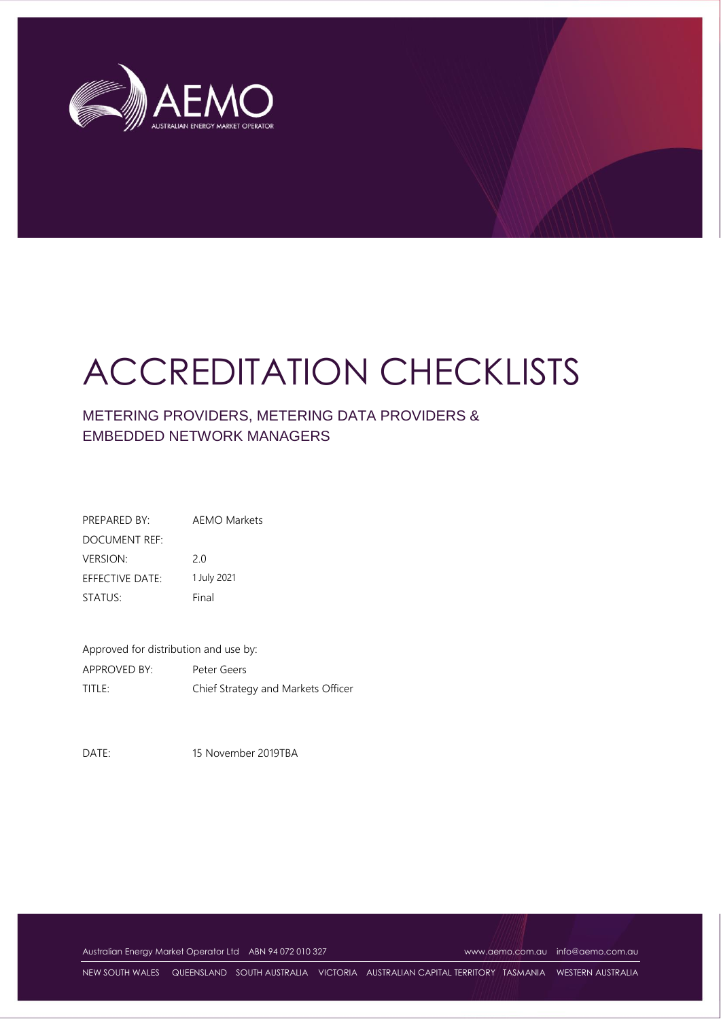

# ACCREDITATION CHECKLISTS

## METERING PROVIDERS, METERING DATA PROVIDERS & EMBEDDED NETWORK MANAGERS

| PREPARED BY:    | AFMO Markets |
|-----------------|--------------|
| DOCUMENT REF:   |              |
| <b>VERSION:</b> | 20           |
| EFFECTIVE DATE: | 1 July 2021  |
| STATUS:         | Final        |

Approved for distribution and use by: APPROVED BY: Peter Geers TITLE: Chief Strategy and Markets Officer

DATE: 15 November 2019TBA

Australian Energy Market Operator Ltd ABN 94 072 010 327 [www.aemo.com.au](http://www.aemo.com.au/) [info@aemo.com.au](mailto:info@aemo.com.au) info@aemo.com.au

NEW SOUTH WALES QUEENSLAND SOUTH AUSTRALIA VICTORIA AUSTRALIAN CAPITAL TERRITORY TASMANIA WESTERN AUSTRALIA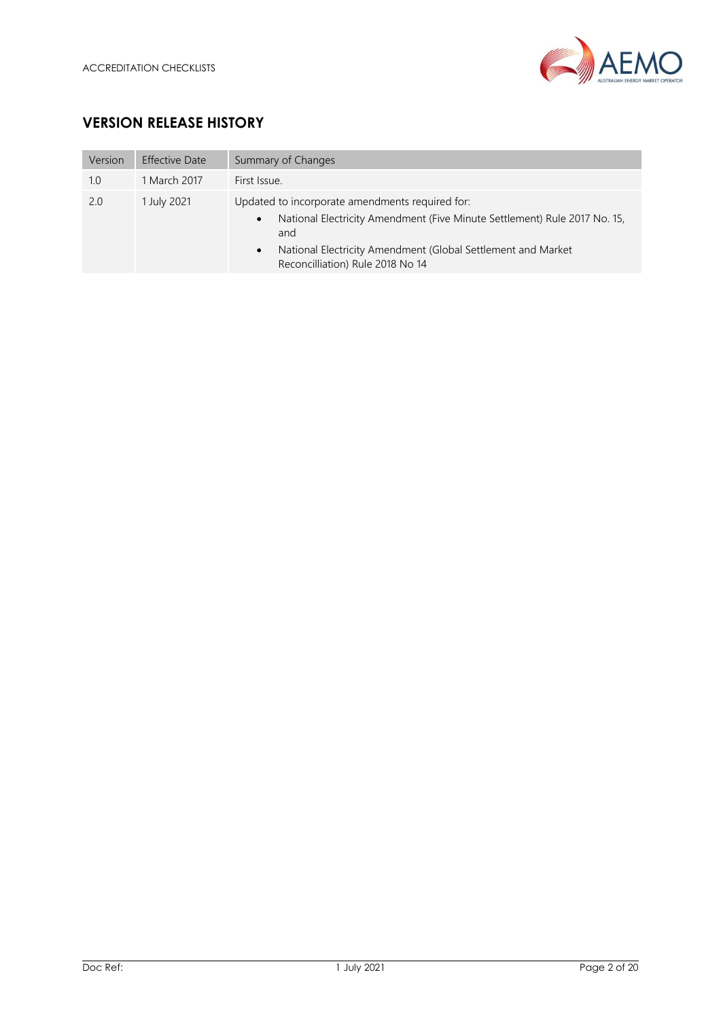

## **VERSION RELEASE HISTORY**

| Version | <b>Effective Date</b> | Summary of Changes                                                                                                                                                                                                                                                |
|---------|-----------------------|-------------------------------------------------------------------------------------------------------------------------------------------------------------------------------------------------------------------------------------------------------------------|
| 1.0     | 1 March 2017          | First Issue.                                                                                                                                                                                                                                                      |
| 2.0     | 1 July 2021           | Updated to incorporate amendments required for:<br>National Electricity Amendment (Five Minute Settlement) Rule 2017 No. 15,<br>$\bullet$<br>and<br>National Electricity Amendment (Global Settlement and Market<br>$\bullet$<br>Reconcilliation) Rule 2018 No 14 |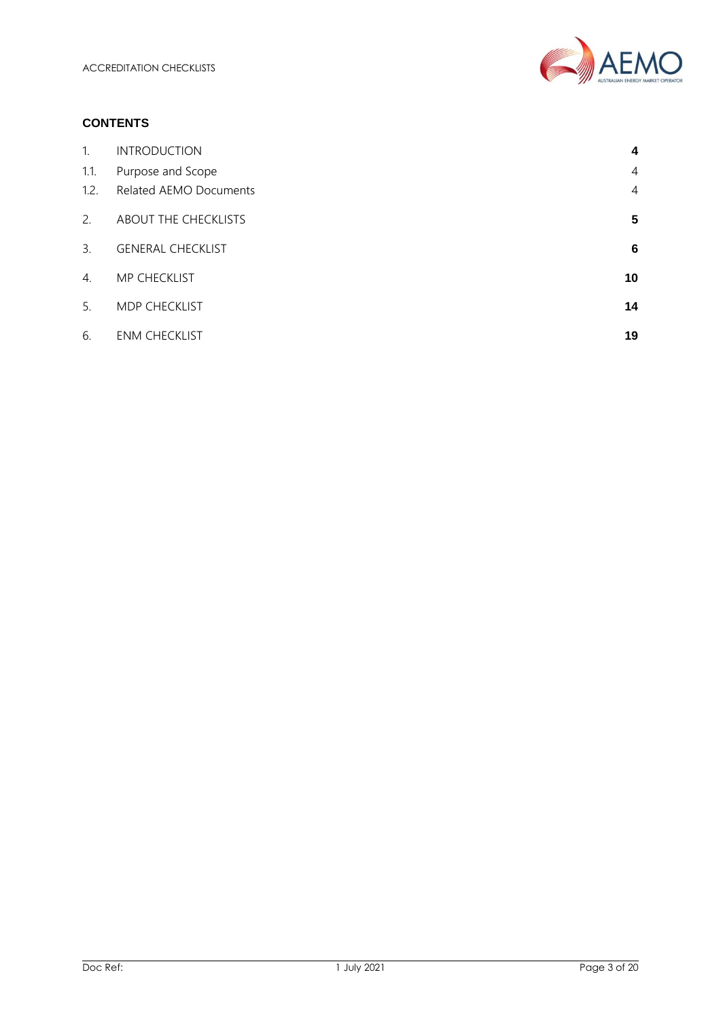

#### **CONTENTS**

| 1 <sub>1</sub> | <b>INTRODUCTION</b>      | 4  |
|----------------|--------------------------|----|
| 1.1.           | Purpose and Scope        | 4  |
| 1.2.           | Related AEMO Documents   | 4  |
| 2.             | ABOUT THE CHECKLISTS     | 5  |
| 3.             | <b>GENERAL CHECKLIST</b> | 6  |
| 4.             | MP CHECKLIST             | 10 |
| 5.             | MDP CHECKLIST            | 14 |
| 6.             | <b>ENM CHECKLIST</b>     | 19 |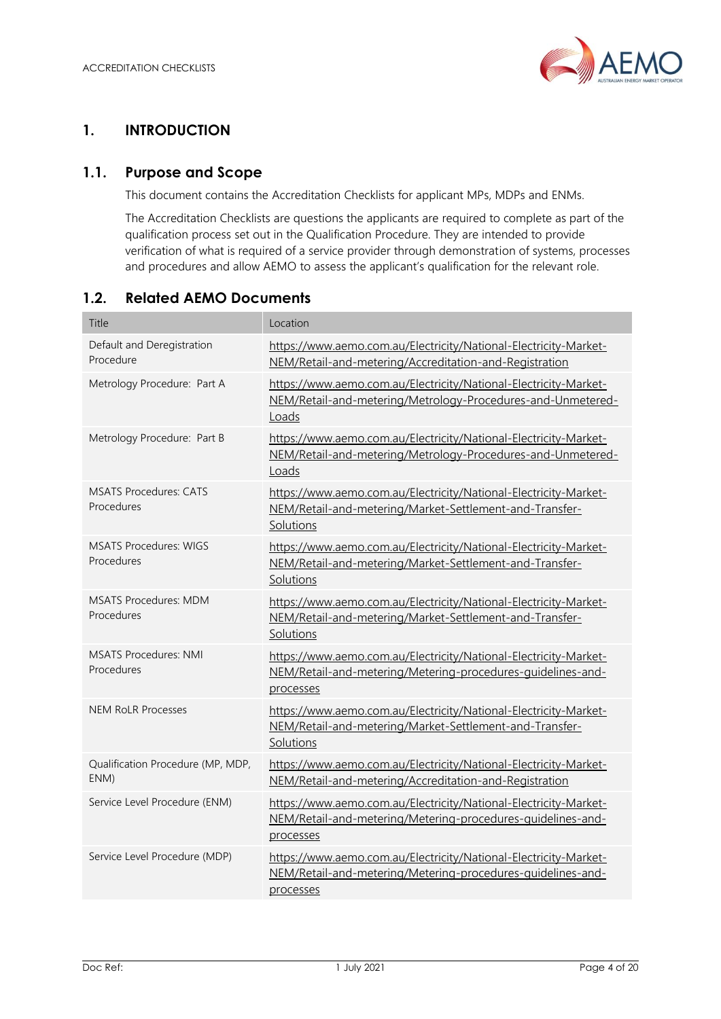

## <span id="page-3-0"></span>**1. INTRODUCTION**

#### <span id="page-3-1"></span>**1.1. Purpose and Scope**

This document contains the Accreditation Checklists for applicant MPs, MDPs and ENMs.

The Accreditation Checklists are questions the applicants are required to complete as part of the qualification process set out in the Qualification Procedure. They are intended to provide verification of what is required of a service provider through demonstration of systems, processes and procedures and allow AEMO to assess the applicant's qualification for the relevant role.

#### <span id="page-3-2"></span>**1.2. Related AEMO Documents**

| Title                                       | Location                                                                                                                                     |
|---------------------------------------------|----------------------------------------------------------------------------------------------------------------------------------------------|
| Default and Deregistration<br>Procedure     | https://www.aemo.com.au/Electricity/National-Electricity-Market-<br>NEM/Retail-and-metering/Accreditation-and-Registration                   |
| Metrology Procedure: Part A                 | https://www.aemo.com.au/Electricity/National-Electricity-Market-<br>NEM/Retail-and-metering/Metrology-Procedures-and-Unmetered-<br>Loads     |
| Metrology Procedure: Part B                 | https://www.aemo.com.au/Electricity/National-Electricity-Market-<br>NEM/Retail-and-metering/Metrology-Procedures-and-Unmetered-<br>Loads     |
| <b>MSATS Procedures: CATS</b><br>Procedures | https://www.aemo.com.au/Electricity/National-Electricity-Market-<br>NEM/Retail-and-metering/Market-Settlement-and-Transfer-<br>Solutions     |
| <b>MSATS Procedures: WIGS</b><br>Procedures | https://www.aemo.com.au/Electricity/National-Electricity-Market-<br>NEM/Retail-and-metering/Market-Settlement-and-Transfer-<br>Solutions     |
| <b>MSATS Procedures: MDM</b><br>Procedures  | https://www.aemo.com.au/Electricity/National-Electricity-Market-<br>NEM/Retail-and-metering/Market-Settlement-and-Transfer-<br>Solutions     |
| <b>MSATS Procedures: NMI</b><br>Procedures  | https://www.aemo.com.au/Electricity/National-Electricity-Market-<br>NEM/Retail-and-metering/Metering-procedures-guidelines-and-<br>processes |
| <b>NEM RoLR Processes</b>                   | https://www.aemo.com.au/Electricity/National-Electricity-Market-<br>NEM/Retail-and-metering/Market-Settlement-and-Transfer-<br>Solutions     |
| Qualification Procedure (MP, MDP,<br>ENM)   | https://www.aemo.com.au/Electricity/National-Electricity-Market-<br>NEM/Retail-and-metering/Accreditation-and-Registration                   |
| Service Level Procedure (ENM)               | https://www.aemo.com.au/Electricity/National-Electricity-Market-<br>NEM/Retail-and-metering/Metering-procedures-guidelines-and-<br>processes |
| Service Level Procedure (MDP)               | https://www.aemo.com.au/Electricity/National-Electricity-Market-<br>NEM/Retail-and-metering/Metering-procedures-guidelines-and-<br>processes |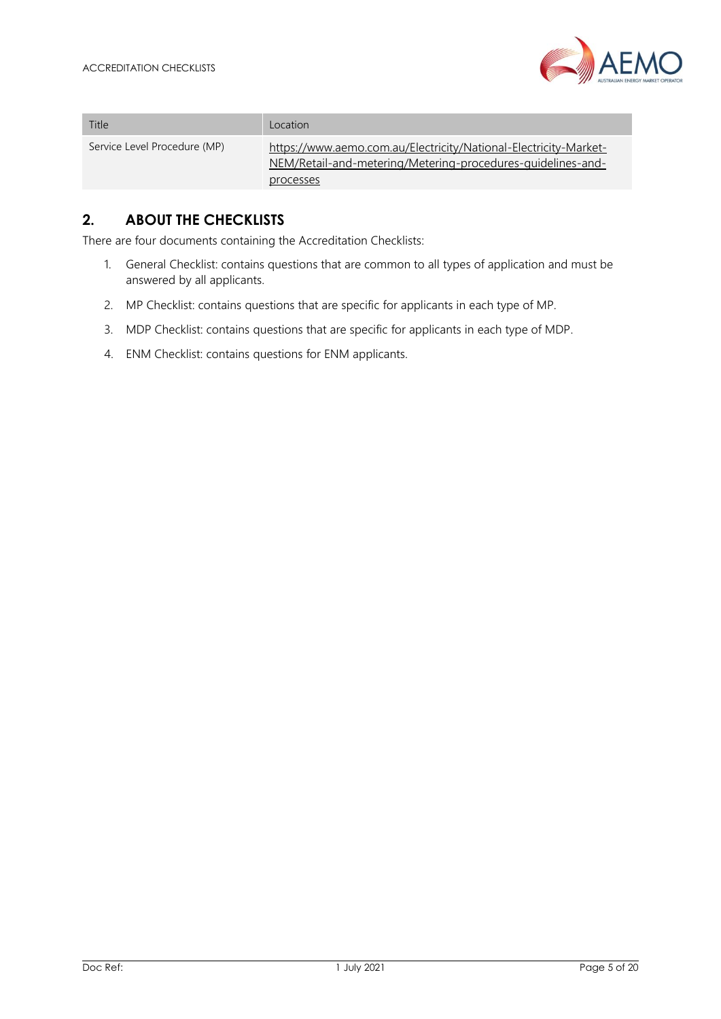

|                              | $\eta$<br>AUSTRALIAN ENERGY MARKET O                                                                                                         |
|------------------------------|----------------------------------------------------------------------------------------------------------------------------------------------|
|                              |                                                                                                                                              |
| Title                        | Location                                                                                                                                     |
| Service Level Procedure (MP) | https://www.aemo.com.au/Electricity/National-Electricity-Market-<br>NEM/Retail-and-metering/Metering-procedures-quidelines-and-<br>processes |

## <span id="page-4-0"></span>**2. ABOUT THE CHECKLISTS**

There are four documents containing the Accreditation Checklists:

- 1. General Checklist: contains questions that are common to all types of application and must be answered by all applicants.
- 2. MP Checklist: contains questions that are specific for applicants in each type of MP.
- 3. MDP Checklist: contains questions that are specific for applicants in each type of MDP.
- 4. ENM Checklist: contains questions for ENM applicants.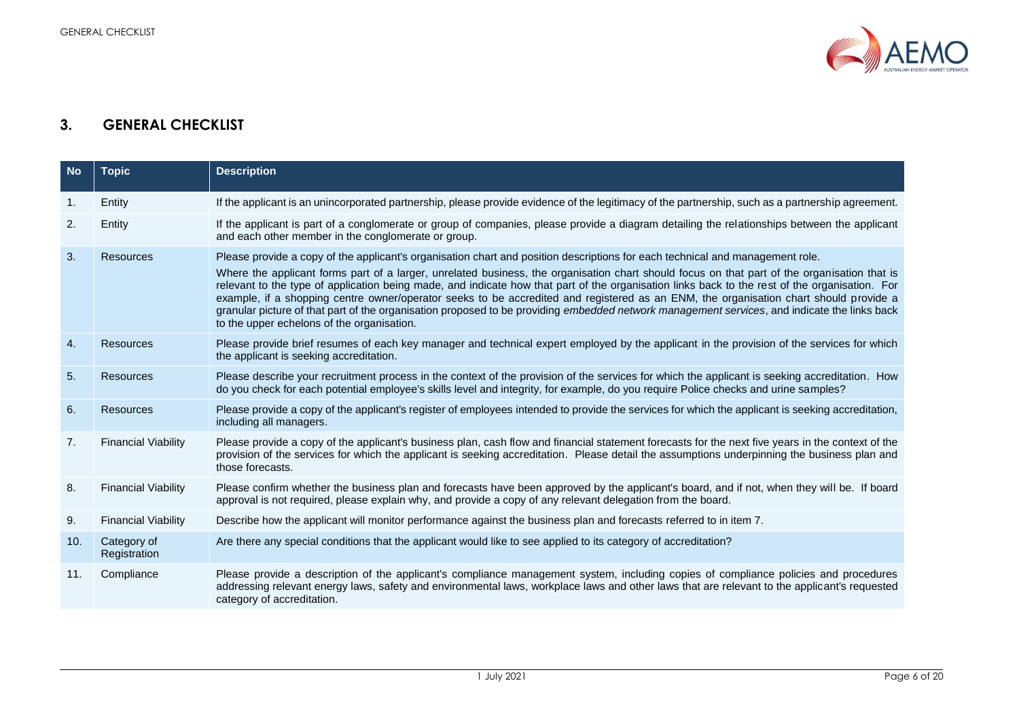

## **3. GENERAL CHECKLIST**

<span id="page-5-0"></span>

| <b>No</b> | <b>Topic</b>                | <b>Description</b>                                                                                                                                                                                                                                                                                                                                                                                                                                                                                                                                                                                                                                                                                                                                                     |
|-----------|-----------------------------|------------------------------------------------------------------------------------------------------------------------------------------------------------------------------------------------------------------------------------------------------------------------------------------------------------------------------------------------------------------------------------------------------------------------------------------------------------------------------------------------------------------------------------------------------------------------------------------------------------------------------------------------------------------------------------------------------------------------------------------------------------------------|
| 1.        | Entity                      | If the applicant is an unincorporated partnership, please provide evidence of the legitimacy of the partnership, such as a partnership agreement.                                                                                                                                                                                                                                                                                                                                                                                                                                                                                                                                                                                                                      |
| 2.        | Entity                      | If the applicant is part of a conglomerate or group of companies, please provide a diagram detailing the relationships between the applicant<br>and each other member in the conglomerate or group.                                                                                                                                                                                                                                                                                                                                                                                                                                                                                                                                                                    |
| 3.        | Resources                   | Please provide a copy of the applicant's organisation chart and position descriptions for each technical and management role.<br>Where the applicant forms part of a larger, unrelated business, the organisation chart should focus on that part of the organisation that is<br>relevant to the type of application being made, and indicate how that part of the organisation links back to the rest of the organisation. For<br>example, if a shopping centre owner/operator seeks to be accredited and registered as an ENM, the organisation chart should provide a<br>granular picture of that part of the organisation proposed to be providing embedded network management services, and indicate the links back<br>to the upper echelons of the organisation. |
| 4.        | Resources                   | Please provide brief resumes of each key manager and technical expert employed by the applicant in the provision of the services for which<br>the applicant is seeking accreditation.                                                                                                                                                                                                                                                                                                                                                                                                                                                                                                                                                                                  |
| 5.        | <b>Resources</b>            | Please describe your recruitment process in the context of the provision of the services for which the applicant is seeking accreditation. How<br>do you check for each potential employee's skills level and integrity, for example, do you require Police checks and urine samples?                                                                                                                                                                                                                                                                                                                                                                                                                                                                                  |
| 6.        | Resources                   | Please provide a copy of the applicant's register of employees intended to provide the services for which the applicant is seeking accreditation,<br>including all managers.                                                                                                                                                                                                                                                                                                                                                                                                                                                                                                                                                                                           |
| 7.        | <b>Financial Viability</b>  | Please provide a copy of the applicant's business plan, cash flow and financial statement forecasts for the next five years in the context of the<br>provision of the services for which the applicant is seeking accreditation. Please detail the assumptions underpinning the business plan and<br>those forecasts.                                                                                                                                                                                                                                                                                                                                                                                                                                                  |
| 8.        | <b>Financial Viability</b>  | Please confirm whether the business plan and forecasts have been approved by the applicant's board, and if not, when they will be. If board<br>approval is not required, please explain why, and provide a copy of any relevant delegation from the board.                                                                                                                                                                                                                                                                                                                                                                                                                                                                                                             |
| 9.        | <b>Financial Viability</b>  | Describe how the applicant will monitor performance against the business plan and forecasts referred to in item 7.                                                                                                                                                                                                                                                                                                                                                                                                                                                                                                                                                                                                                                                     |
| 10.       | Category of<br>Registration | Are there any special conditions that the applicant would like to see applied to its category of accreditation?                                                                                                                                                                                                                                                                                                                                                                                                                                                                                                                                                                                                                                                        |
| 11.       | Compliance                  | Please provide a description of the applicant's compliance management system, including copies of compliance policies and procedures<br>addressing relevant energy laws, safety and environmental laws, workplace laws and other laws that are relevant to the applicant's requested<br>category of accreditation.                                                                                                                                                                                                                                                                                                                                                                                                                                                     |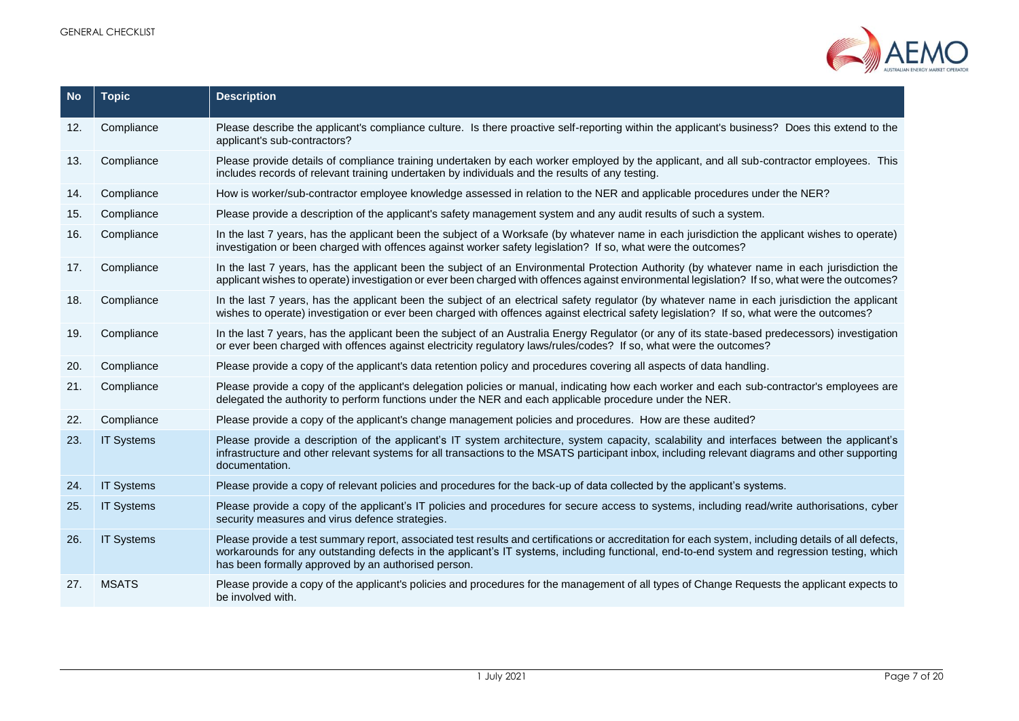

| <b>No</b> | <b>Topic</b>      | <b>Description</b>                                                                                                                                                                                                                                                                                                                                          |
|-----------|-------------------|-------------------------------------------------------------------------------------------------------------------------------------------------------------------------------------------------------------------------------------------------------------------------------------------------------------------------------------------------------------|
| 12.       | Compliance        | Please describe the applicant's compliance culture. Is there proactive self-reporting within the applicant's business? Does this extend to the<br>applicant's sub-contractors?                                                                                                                                                                              |
| 13.       | Compliance        | Please provide details of compliance training undertaken by each worker employed by the applicant, and all sub-contractor employees. This<br>includes records of relevant training undertaken by individuals and the results of any testing.                                                                                                                |
| 14.       | Compliance        | How is worker/sub-contractor employee knowledge assessed in relation to the NER and applicable procedures under the NER?                                                                                                                                                                                                                                    |
| 15.       | Compliance        | Please provide a description of the applicant's safety management system and any audit results of such a system.                                                                                                                                                                                                                                            |
| 16.       | Compliance        | In the last 7 years, has the applicant been the subject of a Worksafe (by whatever name in each jurisdiction the applicant wishes to operate)<br>investigation or been charged with offences against worker safety legislation? If so, what were the outcomes?                                                                                              |
| 17.       | Compliance        | In the last 7 years, has the applicant been the subject of an Environmental Protection Authority (by whatever name in each jurisdiction the<br>applicant wishes to operate) investigation or ever been charged with offences against environmental legislation? If so, what were the outcomes?                                                              |
| 18.       | Compliance        | In the last 7 years, has the applicant been the subject of an electrical safety regulator (by whatever name in each jurisdiction the applicant<br>wishes to operate) investigation or ever been charged with offences against electrical safety legislation? If so, what were the outcomes?                                                                 |
| 19.       | Compliance        | In the last 7 years, has the applicant been the subject of an Australia Energy Regulator (or any of its state-based predecessors) investigation<br>or ever been charged with offences against electricity regulatory laws/rules/codes? If so, what were the outcomes?                                                                                       |
| 20.       | Compliance        | Please provide a copy of the applicant's data retention policy and procedures covering all aspects of data handling.                                                                                                                                                                                                                                        |
| 21.       | Compliance        | Please provide a copy of the applicant's delegation policies or manual, indicating how each worker and each sub-contractor's employees are<br>delegated the authority to perform functions under the NER and each applicable procedure under the NER.                                                                                                       |
| 22.       | Compliance        | Please provide a copy of the applicant's change management policies and procedures. How are these audited?                                                                                                                                                                                                                                                  |
| 23.       | <b>IT Systems</b> | Please provide a description of the applicant's IT system architecture, system capacity, scalability and interfaces between the applicant's<br>infrastructure and other relevant systems for all transactions to the MSATS participant inbox, including relevant diagrams and other supporting<br>documentation.                                            |
| 24.       | <b>IT Systems</b> | Please provide a copy of relevant policies and procedures for the back-up of data collected by the applicant's systems.                                                                                                                                                                                                                                     |
| 25.       | <b>IT Systems</b> | Please provide a copy of the applicant's IT policies and procedures for secure access to systems, including read/write authorisations, cyber<br>security measures and virus defence strategies.                                                                                                                                                             |
| 26.       | <b>IT Systems</b> | Please provide a test summary report, associated test results and certifications or accreditation for each system, including details of all defects,<br>workarounds for any outstanding defects in the applicant's IT systems, including functional, end-to-end system and regression testing, which<br>has been formally approved by an authorised person. |
| 27.       | <b>MSATS</b>      | Please provide a copy of the applicant's policies and procedures for the management of all types of Change Requests the applicant expects to<br>be involved with.                                                                                                                                                                                           |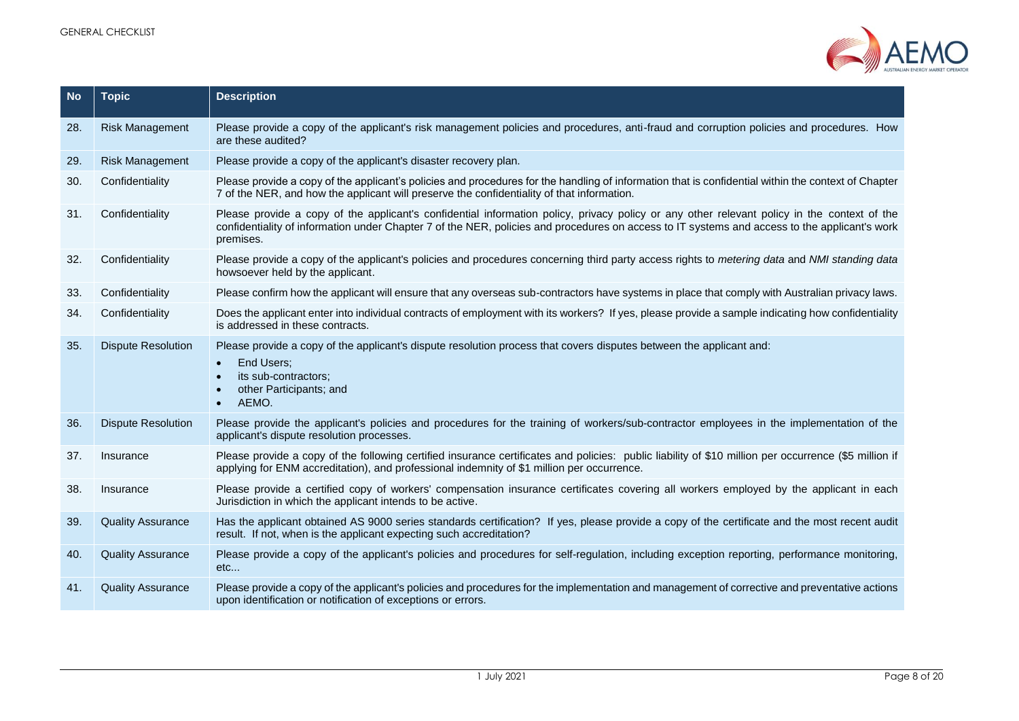

| <b>No</b> | <b>Topic</b>              | <b>Description</b>                                                                                                                                                                                                                                                                                        |
|-----------|---------------------------|-----------------------------------------------------------------------------------------------------------------------------------------------------------------------------------------------------------------------------------------------------------------------------------------------------------|
| 28.       | <b>Risk Management</b>    | Please provide a copy of the applicant's risk management policies and procedures, anti-fraud and corruption policies and procedures. How<br>are these audited?                                                                                                                                            |
| 29.       | <b>Risk Management</b>    | Please provide a copy of the applicant's disaster recovery plan.                                                                                                                                                                                                                                          |
| 30.       | Confidentiality           | Please provide a copy of the applicant's policies and procedures for the handling of information that is confidential within the context of Chapter<br>7 of the NER, and how the applicant will preserve the confidentiality of that information.                                                         |
| 31.       | Confidentiality           | Please provide a copy of the applicant's confidential information policy, privacy policy or any other relevant policy in the context of the<br>confidentiality of information under Chapter 7 of the NER, policies and procedures on access to IT systems and access to the applicant's work<br>premises. |
| 32.       | Confidentiality           | Please provide a copy of the applicant's policies and procedures concerning third party access rights to metering data and NMI standing data<br>howsoever held by the applicant.                                                                                                                          |
| 33.       | Confidentiality           | Please confirm how the applicant will ensure that any overseas sub-contractors have systems in place that comply with Australian privacy laws.                                                                                                                                                            |
| 34.       | Confidentiality           | Does the applicant enter into individual contracts of employment with its workers? If yes, please provide a sample indicating how confidentiality<br>is addressed in these contracts.                                                                                                                     |
| 35.       | <b>Dispute Resolution</b> | Please provide a copy of the applicant's dispute resolution process that covers disputes between the applicant and:<br>End Users;<br>$\bullet$<br>its sub-contractors;<br>other Participants; and<br>AEMO.                                                                                                |
| 36.       | <b>Dispute Resolution</b> | Please provide the applicant's policies and procedures for the training of workers/sub-contractor employees in the implementation of the<br>applicant's dispute resolution processes.                                                                                                                     |
| 37.       | Insurance                 | Please provide a copy of the following certified insurance certificates and policies: public liability of \$10 million per occurrence (\$5 million if<br>applying for ENM accreditation), and professional indemnity of \$1 million per occurrence.                                                       |
| 38.       | Insurance                 | Please provide a certified copy of workers' compensation insurance certificates covering all workers employed by the applicant in each<br>Jurisdiction in which the applicant intends to be active.                                                                                                       |
| 39.       | <b>Quality Assurance</b>  | Has the applicant obtained AS 9000 series standards certification? If yes, please provide a copy of the certificate and the most recent audit<br>result. If not, when is the applicant expecting such accreditation?                                                                                      |
| 40.       | <b>Quality Assurance</b>  | Please provide a copy of the applicant's policies and procedures for self-regulation, including exception reporting, performance monitoring,<br>etc                                                                                                                                                       |
| 41.       | <b>Quality Assurance</b>  | Please provide a copy of the applicant's policies and procedures for the implementation and management of corrective and preventative actions<br>upon identification or notification of exceptions or errors.                                                                                             |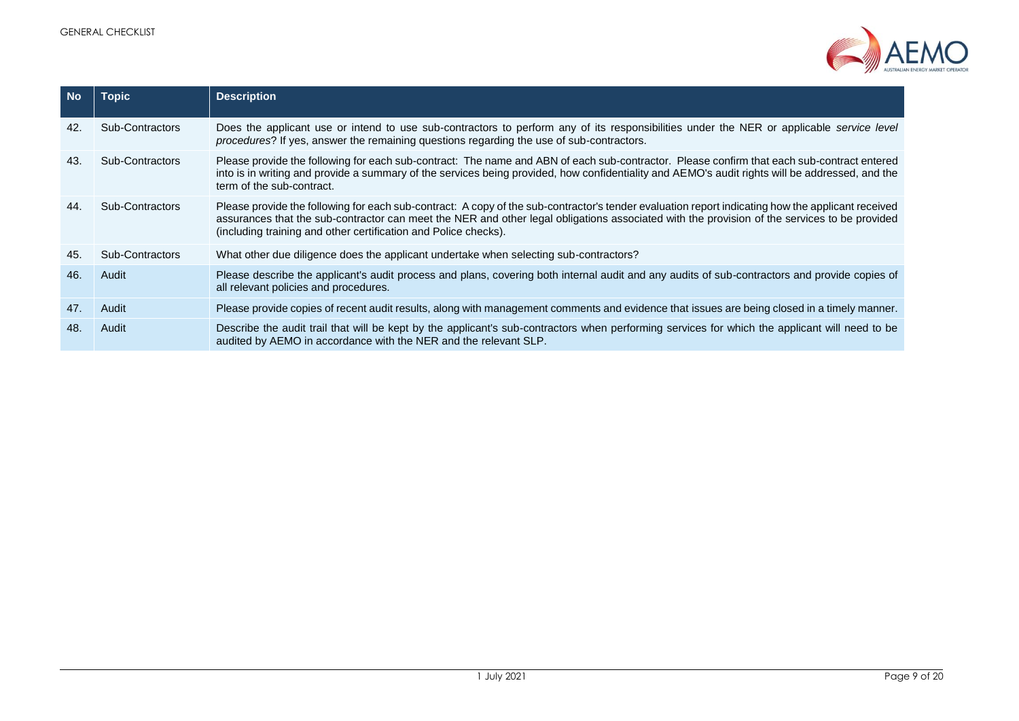

| <b>No</b> | Topic           | <b>Description</b>                                                                                                                                                                                                                                                                                                                                                   |
|-----------|-----------------|----------------------------------------------------------------------------------------------------------------------------------------------------------------------------------------------------------------------------------------------------------------------------------------------------------------------------------------------------------------------|
| 42.       | Sub-Contractors | Does the applicant use or intend to use sub-contractors to perform any of its responsibilities under the NER or applicable service level<br>procedures? If yes, answer the remaining questions regarding the use of sub-contractors.                                                                                                                                 |
| 43.       | Sub-Contractors | Please provide the following for each sub-contract: The name and ABN of each sub-contractor. Please confirm that each sub-contract entered<br>into is in writing and provide a summary of the services being provided, how confidentiality and AEMO's audit rights will be addressed, and the<br>term of the sub-contract.                                           |
| 44.       | Sub-Contractors | Please provide the following for each sub-contract: A copy of the sub-contractor's tender evaluation report indicating how the applicant received<br>assurances that the sub-contractor can meet the NER and other legal obligations associated with the provision of the services to be provided<br>(including training and other certification and Police checks). |
| 45.       | Sub-Contractors | What other due diligence does the applicant undertake when selecting sub-contractors?                                                                                                                                                                                                                                                                                |
| 46.       | Audit           | Please describe the applicant's audit process and plans, covering both internal audit and any audits of sub-contractors and provide copies of<br>all relevant policies and procedures.                                                                                                                                                                               |
| 47.       | Audit           | Please provide copies of recent audit results, along with management comments and evidence that issues are being closed in a timely manner.                                                                                                                                                                                                                          |
| 48.       | Audit           | Describe the audit trail that will be kept by the applicant's sub-contractors when performing services for which the applicant will need to be<br>audited by AEMO in accordance with the NER and the relevant SLP.                                                                                                                                                   |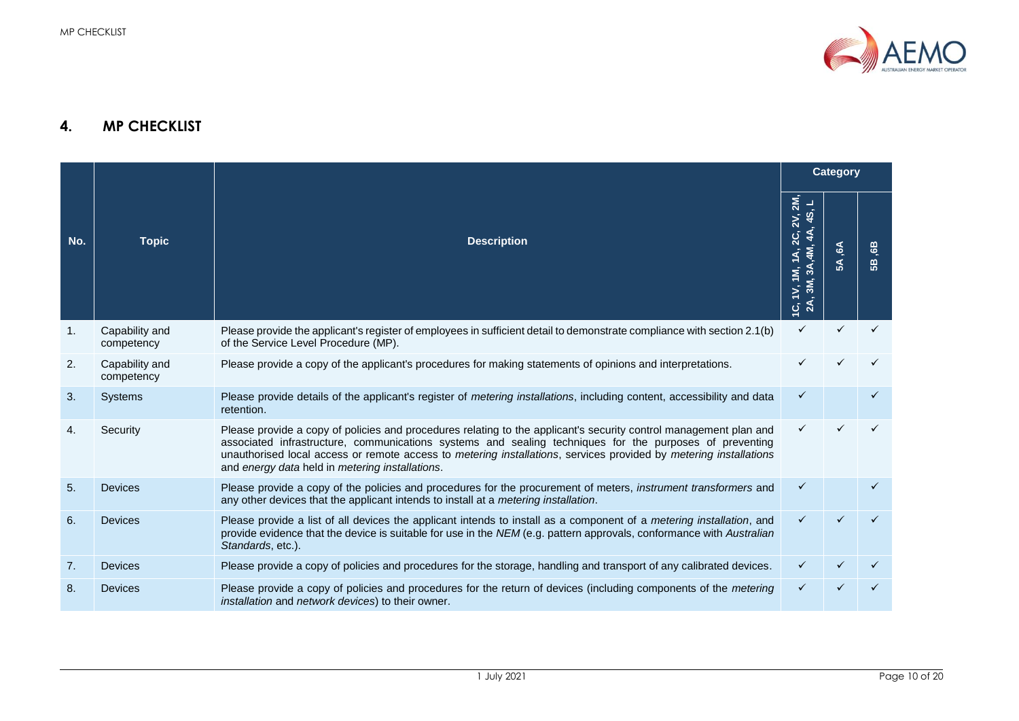

### **4. MP CHECKLIST**

<span id="page-9-0"></span>

|     |                              |                                                                                                                                                                                                                                                                                                                                                                                                      |                                                                                                                                     | <b>Category</b>              |                      |
|-----|------------------------------|------------------------------------------------------------------------------------------------------------------------------------------------------------------------------------------------------------------------------------------------------------------------------------------------------------------------------------------------------------------------------------------------------|-------------------------------------------------------------------------------------------------------------------------------------|------------------------------|----------------------|
| No. | <b>Topic</b>                 | <b>Description</b>                                                                                                                                                                                                                                                                                                                                                                                   | 2M,<br>45<br>2V,<br>4A<br>$2\overline{c}$<br>$\ddot{=}$<br>(∡<br>3M, 3A,<br>Ξ,<br>$\sum_{i=1}^{n}$<br>$\overline{G}$ $\overline{A}$ | $\epsilon$<br>$\mathfrak{F}$ | <u>ය</u><br><b>B</b> |
| 1.  | Capability and<br>competency | Please provide the applicant's register of employees in sufficient detail to demonstrate compliance with section 2.1(b)<br>of the Service Level Procedure (MP).                                                                                                                                                                                                                                      | ✓                                                                                                                                   |                              |                      |
| 2.  | Capability and<br>competency | Please provide a copy of the applicant's procedures for making statements of opinions and interpretations.                                                                                                                                                                                                                                                                                           |                                                                                                                                     |                              |                      |
| 3.  | <b>Systems</b>               | Please provide details of the applicant's register of metering installations, including content, accessibility and data<br>retention.                                                                                                                                                                                                                                                                | ✓                                                                                                                                   |                              |                      |
| 4.  | Security                     | Please provide a copy of policies and procedures relating to the applicant's security control management plan and<br>associated infrastructure, communications systems and sealing techniques for the purposes of preventing<br>unauthorised local access or remote access to metering installations, services provided by metering installations<br>and energy data held in metering installations. | ✓                                                                                                                                   |                              |                      |
| 5.  | Devices                      | Please provide a copy of the policies and procedures for the procurement of meters, instrument transformers and<br>any other devices that the applicant intends to install at a metering installation.                                                                                                                                                                                               | ✓                                                                                                                                   |                              |                      |
| 6.  | <b>Devices</b>               | Please provide a list of all devices the applicant intends to install as a component of a metering installation, and<br>provide evidence that the device is suitable for use in the NEM (e.g. pattern approvals, conformance with Australian<br>Standards, etc.).                                                                                                                                    | ✓                                                                                                                                   |                              |                      |
| 7.  | <b>Devices</b>               | Please provide a copy of policies and procedures for the storage, handling and transport of any calibrated devices.                                                                                                                                                                                                                                                                                  |                                                                                                                                     |                              |                      |
| 8.  | <b>Devices</b>               | Please provide a copy of policies and procedures for the return of devices (including components of the metering<br>installation and network devices) to their owner.                                                                                                                                                                                                                                | ✓                                                                                                                                   |                              |                      |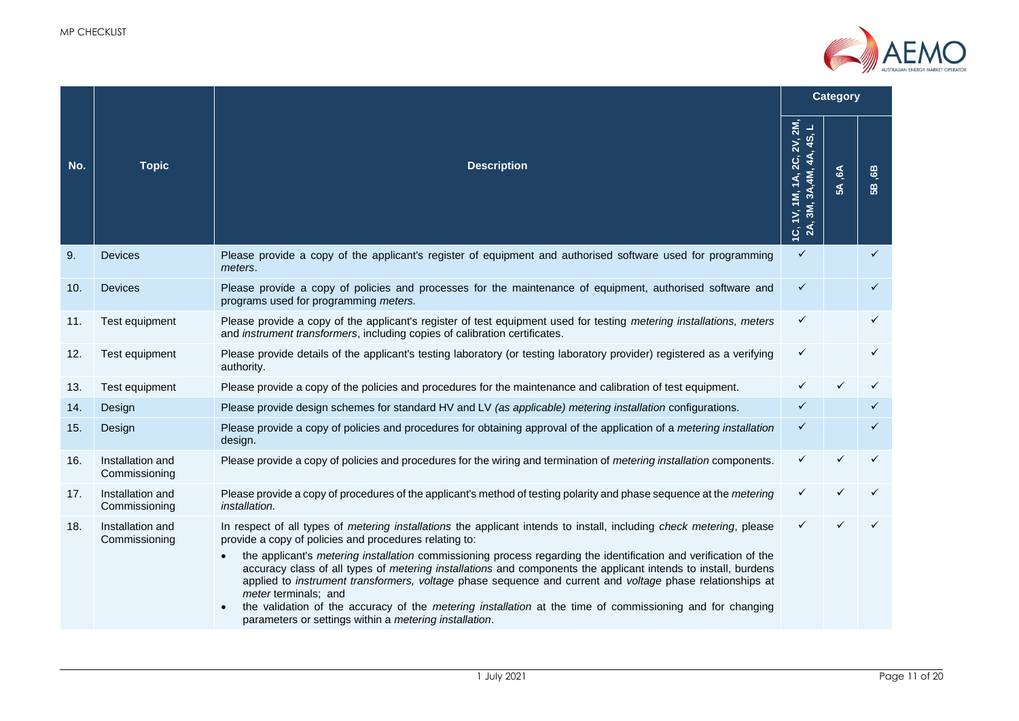

|     |                                   |                                                                                                                                                                                                                                                                                                                                                                                                                                                                                                                                                                                                                                                                                                                                                                      |                                                        | <b>Category</b> |              |  |
|-----|-----------------------------------|----------------------------------------------------------------------------------------------------------------------------------------------------------------------------------------------------------------------------------------------------------------------------------------------------------------------------------------------------------------------------------------------------------------------------------------------------------------------------------------------------------------------------------------------------------------------------------------------------------------------------------------------------------------------------------------------------------------------------------------------------------------------|--------------------------------------------------------|-----------------|--------------|--|
| No. | <b>Topic</b>                      | <b>Description</b>                                                                                                                                                                                                                                                                                                                                                                                                                                                                                                                                                                                                                                                                                                                                                   | 1C, 1V, 1M, 1A, 2C, 2V, 2M,<br>2A, 3M, 3A, 4M, 4A, 4S, | 5A,6A           | GB,<br>58    |  |
| 9.  | <b>Devices</b>                    | Please provide a copy of the applicant's register of equipment and authorised software used for programming<br>meters.                                                                                                                                                                                                                                                                                                                                                                                                                                                                                                                                                                                                                                               | $\checkmark$                                           |                 | $\checkmark$ |  |
| 10. | <b>Devices</b>                    | Please provide a copy of policies and processes for the maintenance of equipment, authorised software and<br>programs used for programming meters.                                                                                                                                                                                                                                                                                                                                                                                                                                                                                                                                                                                                                   | $\checkmark$                                           |                 | ✓            |  |
| 11. | Test equipment                    | Please provide a copy of the applicant's register of test equipment used for testing metering installations, meters<br>and instrument transformers, including copies of calibration certificates.                                                                                                                                                                                                                                                                                                                                                                                                                                                                                                                                                                    | ✓                                                      |                 | ✓            |  |
| 12. | Test equipment                    | Please provide details of the applicant's testing laboratory (or testing laboratory provider) registered as a verifying<br>authority.                                                                                                                                                                                                                                                                                                                                                                                                                                                                                                                                                                                                                                | $\checkmark$                                           |                 | ✓            |  |
| 13. | Test equipment                    | Please provide a copy of the policies and procedures for the maintenance and calibration of test equipment.                                                                                                                                                                                                                                                                                                                                                                                                                                                                                                                                                                                                                                                          |                                                        |                 |              |  |
| 14. | Design                            | Please provide design schemes for standard HV and LV (as applicable) metering installation configurations.                                                                                                                                                                                                                                                                                                                                                                                                                                                                                                                                                                                                                                                           | ✓                                                      |                 | ✓            |  |
| 15. | Design                            | Please provide a copy of policies and procedures for obtaining approval of the application of a metering installation<br>design.                                                                                                                                                                                                                                                                                                                                                                                                                                                                                                                                                                                                                                     | $\checkmark$                                           |                 | ✓            |  |
| 16. | Installation and<br>Commissioning | Please provide a copy of policies and procedures for the wiring and termination of <i>metering installation</i> components.                                                                                                                                                                                                                                                                                                                                                                                                                                                                                                                                                                                                                                          | ✓                                                      |                 |              |  |
| 17. | Installation and<br>Commissioning | Please provide a copy of procedures of the applicant's method of testing polarity and phase sequence at the metering<br>installation.                                                                                                                                                                                                                                                                                                                                                                                                                                                                                                                                                                                                                                | ✓                                                      |                 |              |  |
| 18. | Installation and<br>Commissioning | In respect of all types of <i>metering installations</i> the applicant intends to install, including <i>check metering</i> , please<br>provide a copy of policies and procedures relating to:<br>the applicant's <i>metering installation</i> commissioning process regarding the identification and verification of the<br>accuracy class of all types of <i>metering installations</i> and components the applicant intends to install, burdens<br>applied to instrument transformers, voltage phase sequence and current and voltage phase relationships at<br>meter terminals; and<br>the validation of the accuracy of the <i>metering installation</i> at the time of commissioning and for changing<br>parameters or settings within a metering installation. | ✓                                                      |                 |              |  |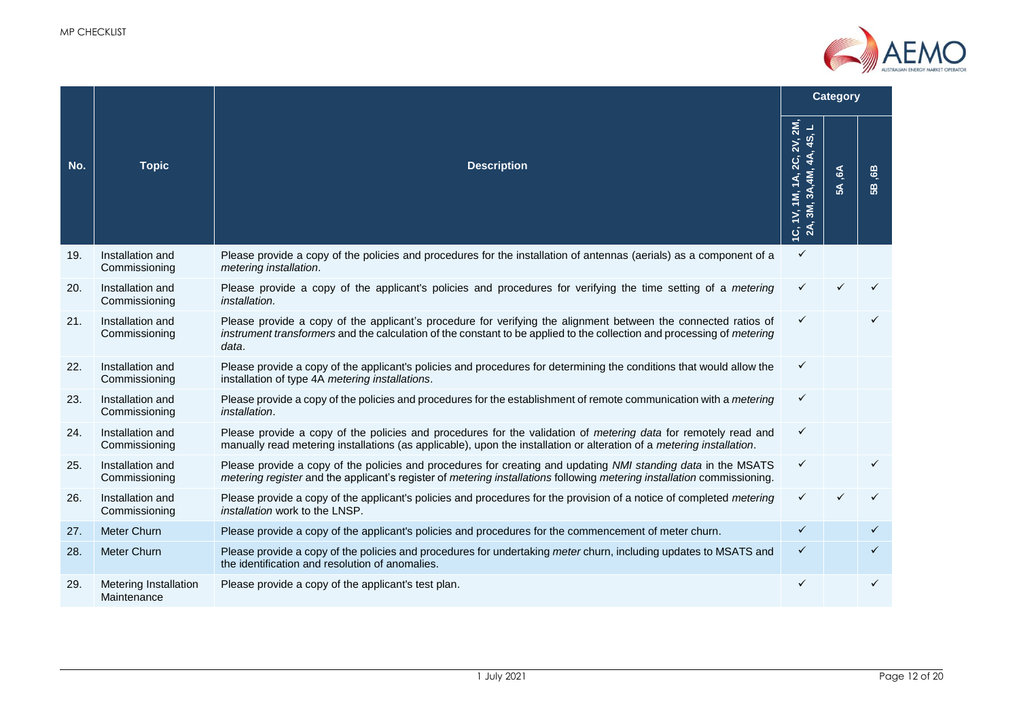

|     |                                      |                                                                                                                                                                                                                                                   |                                                        | <b>Category</b>                                   |                 |
|-----|--------------------------------------|---------------------------------------------------------------------------------------------------------------------------------------------------------------------------------------------------------------------------------------------------|--------------------------------------------------------|---------------------------------------------------|-----------------|
| No. | <b>Topic</b>                         | <b>Description</b>                                                                                                                                                                                                                                | 1C, 1V, 1M, 1A, 2C, 2V, 2M,<br>2A, 3M, 3A, 4M, 4A, 4S, | $\ddot{\mathcal{C}}$<br>$\boldsymbol{\mathsf{s}}$ | <b>es</b><br>58 |
| 19. | Installation and<br>Commissioning    | Please provide a copy of the policies and procedures for the installation of antennas (aerials) as a component of a<br>metering installation.                                                                                                     | $\checkmark$                                           |                                                   |                 |
| 20. | Installation and<br>Commissioning    | Please provide a copy of the applicant's policies and procedures for verifying the time setting of a metering<br>installation.                                                                                                                    | ✓                                                      |                                                   |                 |
| 21. | Installation and<br>Commissioning    | Please provide a copy of the applicant's procedure for verifying the alignment between the connected ratios of<br>instrument transformers and the calculation of the constant to be applied to the collection and processing of metering<br>data. | $\checkmark$                                           |                                                   |                 |
| 22. | Installation and<br>Commissioning    | Please provide a copy of the applicant's policies and procedures for determining the conditions that would allow the<br>installation of type 4A metering installations.                                                                           | ✓                                                      |                                                   |                 |
| 23. | Installation and<br>Commissioning    | Please provide a copy of the policies and procedures for the establishment of remote communication with a metering<br>installation.                                                                                                               | ✓                                                      |                                                   |                 |
| 24. | Installation and<br>Commissioning    | Please provide a copy of the policies and procedures for the validation of metering data for remotely read and<br>manually read metering installations (as applicable), upon the installation or alteration of a metering installation.           | $\checkmark$                                           |                                                   |                 |
| 25. | Installation and<br>Commissioning    | Please provide a copy of the policies and procedures for creating and updating NMI standing data in the MSATS<br>metering register and the applicant's register of metering installations following metering installation commissioning.          | $\checkmark$                                           |                                                   | ✓               |
| 26. | Installation and<br>Commissioning    | Please provide a copy of the applicant's policies and procedures for the provision of a notice of completed metering<br>installation work to the LNSP.                                                                                            | ✓                                                      |                                                   |                 |
| 27. | Meter Churn                          | Please provide a copy of the applicant's policies and procedures for the commencement of meter churn.                                                                                                                                             | $\checkmark$                                           |                                                   | ✓               |
| 28. | <b>Meter Churn</b>                   | Please provide a copy of the policies and procedures for undertaking meter churn, including updates to MSATS and<br>the identification and resolution of anomalies.                                                                               | $\checkmark$                                           |                                                   | $\checkmark$    |
| 29. | Metering Installation<br>Maintenance | Please provide a copy of the applicant's test plan.                                                                                                                                                                                               | $\checkmark$                                           |                                                   | $\checkmark$    |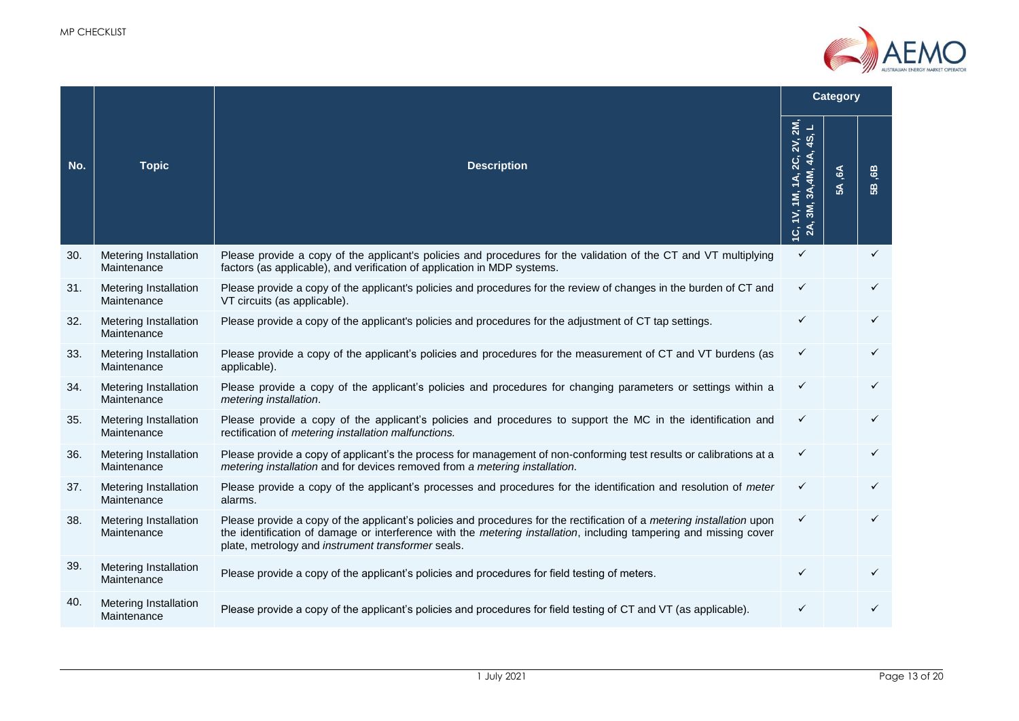

|     |                                             |                                                                                                                                                                                                                                                                                                    |                                                                                    | <b>Category</b>                             |          |  |  |
|-----|---------------------------------------------|----------------------------------------------------------------------------------------------------------------------------------------------------------------------------------------------------------------------------------------------------------------------------------------------------|------------------------------------------------------------------------------------|---------------------------------------------|----------|--|--|
| No. | <b>Topic</b>                                | <b>Description</b>                                                                                                                                                                                                                                                                                 | 2M,<br>┙<br>45,<br>$1V$ , 1M, 1A, 2C, 2V,<br>2A, 3M, 3A, 4M, 4A,<br>$\dot{\sigma}$ | $\mathfrak{E}$<br>$\boldsymbol{\mathsf{s}}$ | 6B<br>58 |  |  |
| 30. | Metering Installation<br>Maintenance        | Please provide a copy of the applicant's policies and procedures for the validation of the CT and VT multiplying<br>factors (as applicable), and verification of application in MDP systems.                                                                                                       | $\checkmark$                                                                       |                                             | ✓        |  |  |
| 31. | Metering Installation<br>Maintenance        | Please provide a copy of the applicant's policies and procedures for the review of changes in the burden of CT and<br>VT circuits (as applicable).                                                                                                                                                 | ✓                                                                                  |                                             |          |  |  |
| 32. | Metering Installation<br>Maintenance        | Please provide a copy of the applicant's policies and procedures for the adjustment of CT tap settings.                                                                                                                                                                                            | ✓                                                                                  |                                             | ✓        |  |  |
| 33. | Metering Installation<br>Maintenance        | Please provide a copy of the applicant's policies and procedures for the measurement of CT and VT burdens (as<br>applicable).                                                                                                                                                                      | ✓                                                                                  |                                             | ✓        |  |  |
| 34. | Metering Installation<br>Maintenance        | Please provide a copy of the applicant's policies and procedures for changing parameters or settings within a<br>metering installation.                                                                                                                                                            | ✓                                                                                  |                                             |          |  |  |
| 35. | Metering Installation<br>Maintenance        | Please provide a copy of the applicant's policies and procedures to support the MC in the identification and<br>rectification of metering installation malfunctions.                                                                                                                               | ✓                                                                                  |                                             | ✓        |  |  |
| 36. | Metering Installation<br>Maintenance        | Please provide a copy of applicant's the process for management of non-conforming test results or calibrations at a<br>metering installation and for devices removed from a metering installation.                                                                                                 | ✓                                                                                  |                                             | ✓        |  |  |
| 37. | Metering Installation<br>Maintenance        | Please provide a copy of the applicant's processes and procedures for the identification and resolution of meter<br>alarms.                                                                                                                                                                        | $\checkmark$                                                                       |                                             |          |  |  |
| 38. | <b>Metering Installation</b><br>Maintenance | Please provide a copy of the applicant's policies and procedures for the rectification of a metering installation upon<br>the identification of damage or interference with the metering installation, including tampering and missing cover<br>plate, metrology and instrument transformer seals. | ✓                                                                                  |                                             |          |  |  |
| 39. | Metering Installation<br>Maintenance        | Please provide a copy of the applicant's policies and procedures for field testing of meters.                                                                                                                                                                                                      | $\checkmark$                                                                       |                                             |          |  |  |
| 40. | Metering Installation<br>Maintenance        | Please provide a copy of the applicant's policies and procedures for field testing of CT and VT (as applicable).                                                                                                                                                                                   | ✓                                                                                  |                                             |          |  |  |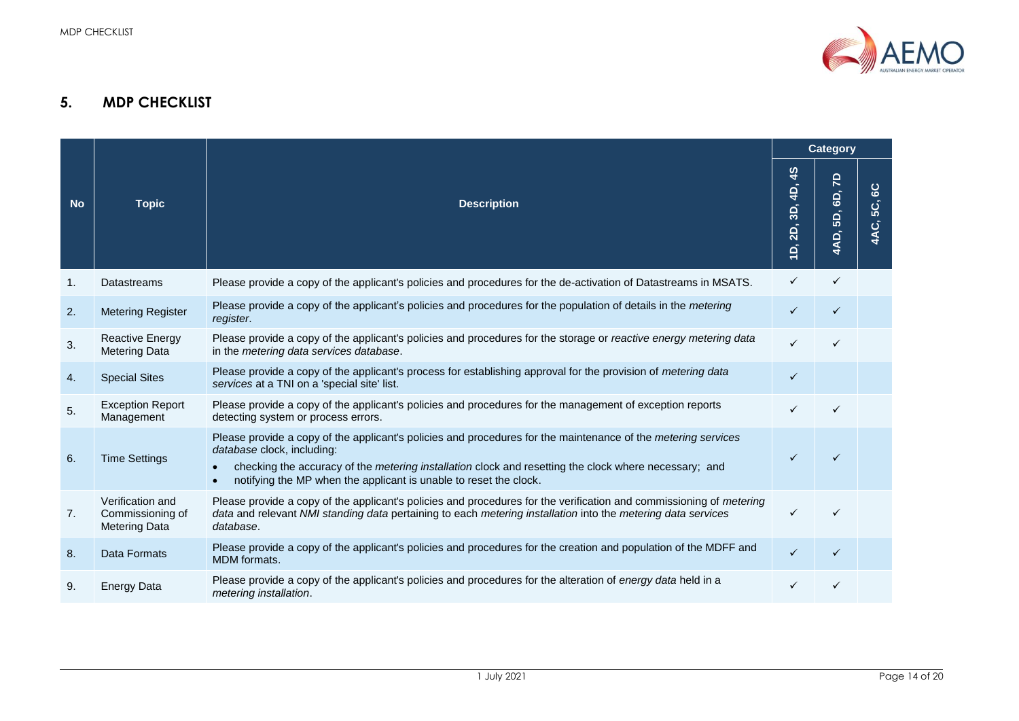

## **5. MDP CHECKLIST**

<span id="page-13-0"></span>

|           |                                                              |                                                                                                                                                                                                                                                                                                                                  | <b>Category</b>                                                                 |                         |                            |
|-----------|--------------------------------------------------------------|----------------------------------------------------------------------------------------------------------------------------------------------------------------------------------------------------------------------------------------------------------------------------------------------------------------------------------|---------------------------------------------------------------------------------|-------------------------|----------------------------|
| <b>No</b> | <b>Topic</b>                                                 | <b>Description</b>                                                                                                                                                                                                                                                                                                               | $\frac{4}{3}$<br>4D,<br>3D,<br>2D,<br>$\overline{\mathsf{d}}$<br>$\overline{ }$ | 5<br>GD,<br>5D,<br>4AD, | $rac{1}{6}$<br>50,<br>4AC. |
| 1.        | Datastreams                                                  | Please provide a copy of the applicant's policies and procedures for the de-activation of Datastreams in MSATS.                                                                                                                                                                                                                  | ✓                                                                               | $\checkmark$            |                            |
| 2.        | <b>Metering Register</b>                                     | Please provide a copy of the applicant's policies and procedures for the population of details in the <i>metering</i><br>register.                                                                                                                                                                                               | ✓                                                                               |                         |                            |
| 3.        | <b>Reactive Energy</b><br><b>Metering Data</b>               | Please provide a copy of the applicant's policies and procedures for the storage or reactive energy metering data<br>in the metering data services database.                                                                                                                                                                     |                                                                                 |                         |                            |
| 4.        | <b>Special Sites</b>                                         | Please provide a copy of the applicant's process for establishing approval for the provision of metering data<br>services at a TNI on a 'special site' list.                                                                                                                                                                     | $\checkmark$                                                                    |                         |                            |
| 5.        | <b>Exception Report</b><br>Management                        | Please provide a copy of the applicant's policies and procedures for the management of exception reports<br>detecting system or process errors.                                                                                                                                                                                  |                                                                                 |                         |                            |
| 6.        | <b>Time Settings</b>                                         | Please provide a copy of the applicant's policies and procedures for the maintenance of the metering services<br>database clock, including:<br>checking the accuracy of the <i>metering installation</i> clock and resetting the clock where necessary; and<br>notifying the MP when the applicant is unable to reset the clock. | ✓                                                                               |                         |                            |
| 7.        | Verification and<br>Commissioning of<br><b>Metering Data</b> | Please provide a copy of the applicant's policies and procedures for the verification and commissioning of metering<br>data and relevant NMI standing data pertaining to each metering installation into the metering data services<br>database.                                                                                 | ✓                                                                               |                         |                            |
| 8.        | Data Formats                                                 | Please provide a copy of the applicant's policies and procedures for the creation and population of the MDFF and<br>MDM formats.                                                                                                                                                                                                 | ✓                                                                               |                         |                            |
| 9.        | <b>Energy Data</b>                                           | Please provide a copy of the applicant's policies and procedures for the alteration of energy data held in a<br>metering installation.                                                                                                                                                                                           |                                                                                 |                         |                            |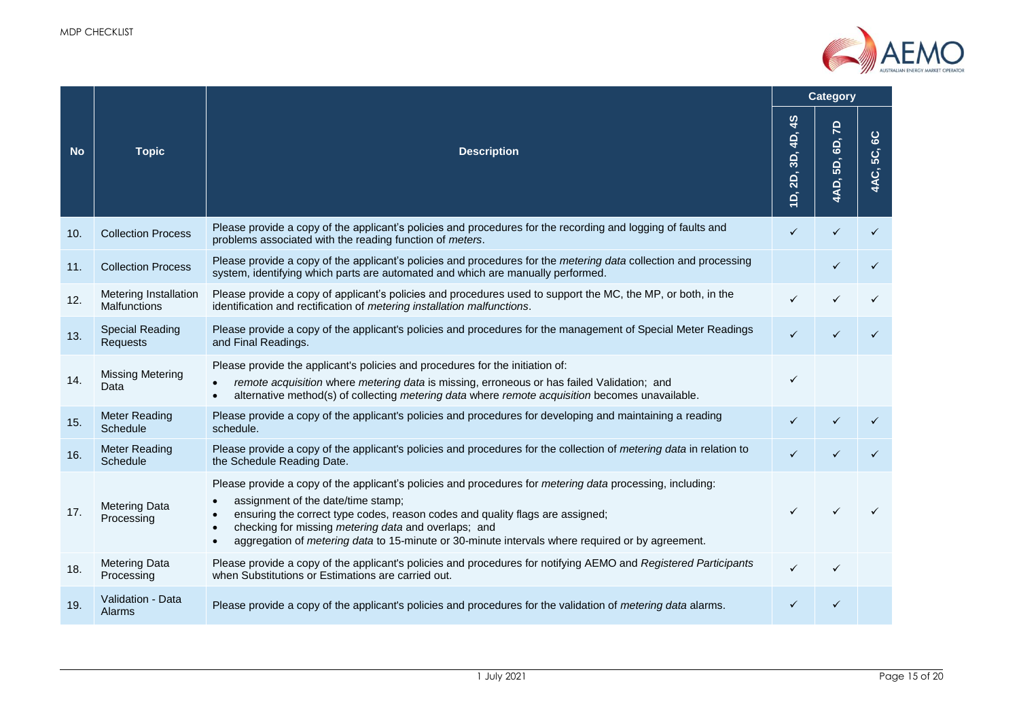

|           |                                       |                                                                                                                                                                                                                                                                                                                                                                                                                                     |                                 | <b>Category</b>         |                    |  |
|-----------|---------------------------------------|-------------------------------------------------------------------------------------------------------------------------------------------------------------------------------------------------------------------------------------------------------------------------------------------------------------------------------------------------------------------------------------------------------------------------------------|---------------------------------|-------------------------|--------------------|--|
| <b>No</b> | <b>Topic</b>                          | <b>Description</b>                                                                                                                                                                                                                                                                                                                                                                                                                  | $\frac{3}{5}$<br>D, 2D, 3D, 4D, | 5<br>GD,<br>5D,<br>4AD, | ပ္စ<br>5C,<br>4AC, |  |
| 10.       | <b>Collection Process</b>             | Please provide a copy of the applicant's policies and procedures for the recording and logging of faults and<br>problems associated with the reading function of meters.                                                                                                                                                                                                                                                            | $\checkmark$                    |                         |                    |  |
| 11.       | <b>Collection Process</b>             | Please provide a copy of the applicant's policies and procedures for the <i>metering data</i> collection and processing<br>system, identifying which parts are automated and which are manually performed.                                                                                                                                                                                                                          |                                 |                         |                    |  |
| 12.       | Metering Installation<br>Malfunctions | Please provide a copy of applicant's policies and procedures used to support the MC, the MP, or both, in the<br>identification and rectification of metering installation malfunctions.                                                                                                                                                                                                                                             |                                 |                         |                    |  |
| 13.       | <b>Special Reading</b><br>Requests    | Please provide a copy of the applicant's policies and procedures for the management of Special Meter Readings<br>and Final Readings.                                                                                                                                                                                                                                                                                                | $\checkmark$                    |                         |                    |  |
| 14.       | <b>Missing Metering</b><br>Data       | Please provide the applicant's policies and procedures for the initiation of:<br>remote acquisition where metering data is missing, erroneous or has failed Validation; and<br>$\bullet$<br>alternative method(s) of collecting metering data where remote acquisition becomes unavailable.<br>$\bullet$                                                                                                                            | $\checkmark$                    |                         |                    |  |
| 15.       | <b>Meter Reading</b><br>Schedule      | Please provide a copy of the applicant's policies and procedures for developing and maintaining a reading<br>schedule.                                                                                                                                                                                                                                                                                                              |                                 |                         |                    |  |
| 16.       | <b>Meter Reading</b><br>Schedule      | Please provide a copy of the applicant's policies and procedures for the collection of metering data in relation to<br>the Schedule Reading Date.                                                                                                                                                                                                                                                                                   |                                 |                         |                    |  |
| 17.       | <b>Metering Data</b><br>Processing    | Please provide a copy of the applicant's policies and procedures for metering data processing, including:<br>assignment of the date/time stamp;<br>$\bullet$<br>ensuring the correct type codes, reason codes and quality flags are assigned;<br>checking for missing metering data and overlaps; and<br>$\bullet$<br>aggregation of metering data to 15-minute or 30-minute intervals where required or by agreement.<br>$\bullet$ |                                 |                         |                    |  |
| 18.       | <b>Metering Data</b><br>Processing    | Please provide a copy of the applicant's policies and procedures for notifying AEMO and Registered Participants<br>when Substitutions or Estimations are carried out.                                                                                                                                                                                                                                                               | ✓                               |                         |                    |  |
| 19.       | Validation - Data<br>Alarms           | Please provide a copy of the applicant's policies and procedures for the validation of metering data alarms.                                                                                                                                                                                                                                                                                                                        |                                 |                         |                    |  |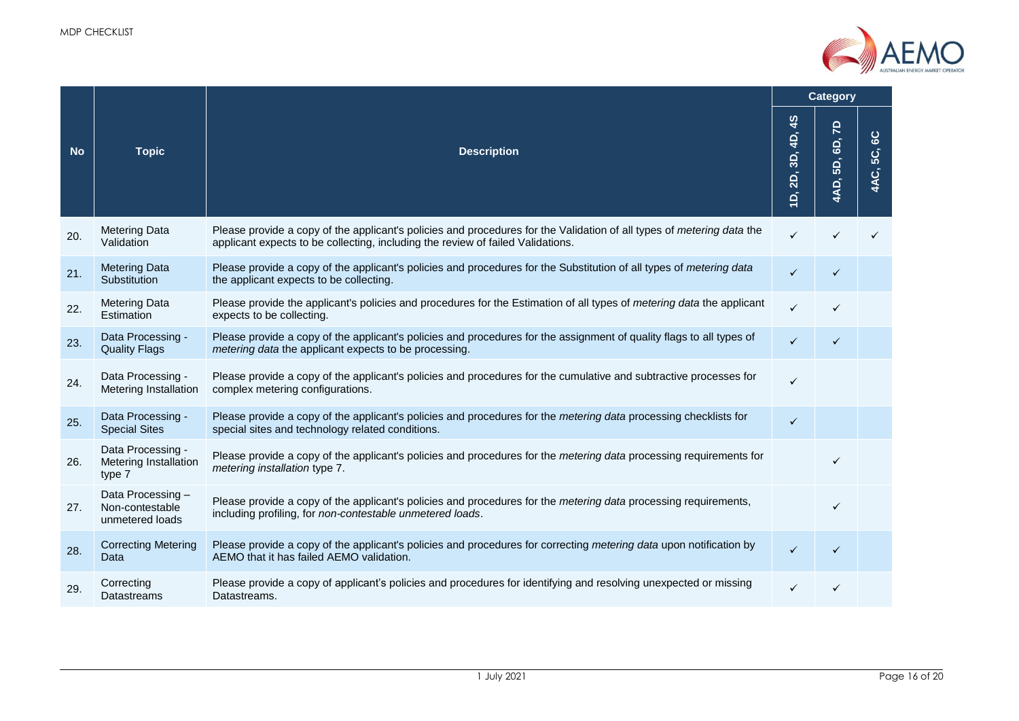

|           |                                                             |                                                                                                                                                                                                          |                                 |                                | <b>Category</b>    |
|-----------|-------------------------------------------------------------|----------------------------------------------------------------------------------------------------------------------------------------------------------------------------------------------------------|---------------------------------|--------------------------------|--------------------|
| <b>No</b> | <b>Topic</b>                                                | <b>Description</b>                                                                                                                                                                                       | $\frac{4}{3}$<br>D, 2D, 3D, 4D, | <b>q</b><br>6D,<br>5D,<br>4AD, | ပ္စ<br>5C,<br>4AC, |
| 20.       | <b>Metering Data</b><br>Validation                          | Please provide a copy of the applicant's policies and procedures for the Validation of all types of metering data the<br>applicant expects to be collecting, including the review of failed Validations. | ✓                               |                                |                    |
| 21.       | <b>Metering Data</b><br>Substitution                        | Please provide a copy of the applicant's policies and procedures for the Substitution of all types of metering data<br>the applicant expects to be collecting.                                           | $\checkmark$                    | $\checkmark$                   |                    |
| 22.       | <b>Metering Data</b><br>Estimation                          | Please provide the applicant's policies and procedures for the Estimation of all types of metering data the applicant<br>expects to be collecting.                                                       | ✓                               |                                |                    |
| 23.       | Data Processing -<br><b>Quality Flags</b>                   | Please provide a copy of the applicant's policies and procedures for the assignment of quality flags to all types of<br>metering data the applicant expects to be processing.                            | $\checkmark$                    | $\checkmark$                   |                    |
| 24.       | Data Processing -<br>Metering Installation                  | Please provide a copy of the applicant's policies and procedures for the cumulative and subtractive processes for<br>complex metering configurations.                                                    | ✓                               |                                |                    |
| 25.       | Data Processing -<br><b>Special Sites</b>                   | Please provide a copy of the applicant's policies and procedures for the metering data processing checklists for<br>special sites and technology related conditions.                                     | ✓                               |                                |                    |
| 26.       | Data Processing -<br><b>Metering Installation</b><br>type 7 | Please provide a copy of the applicant's policies and procedures for the <i>metering data</i> processing requirements for<br>metering installation type 7.                                               |                                 |                                |                    |
| 27.       | Data Processing -<br>Non-contestable<br>unmetered loads     | Please provide a copy of the applicant's policies and procedures for the <i>metering data</i> processing requirements,<br>including profiling, for non-contestable unmetered loads.                      |                                 | $\checkmark$                   |                    |
| 28.       | <b>Correcting Metering</b><br>Data                          | Please provide a copy of the applicant's policies and procedures for correcting metering data upon notification by<br>AEMO that it has failed AEMO validation.                                           | $\checkmark$                    | ✓                              |                    |
| 29.       | Correcting<br><b>Datastreams</b>                            | Please provide a copy of applicant's policies and procedures for identifying and resolving unexpected or missing<br>Datastreams.                                                                         |                                 |                                |                    |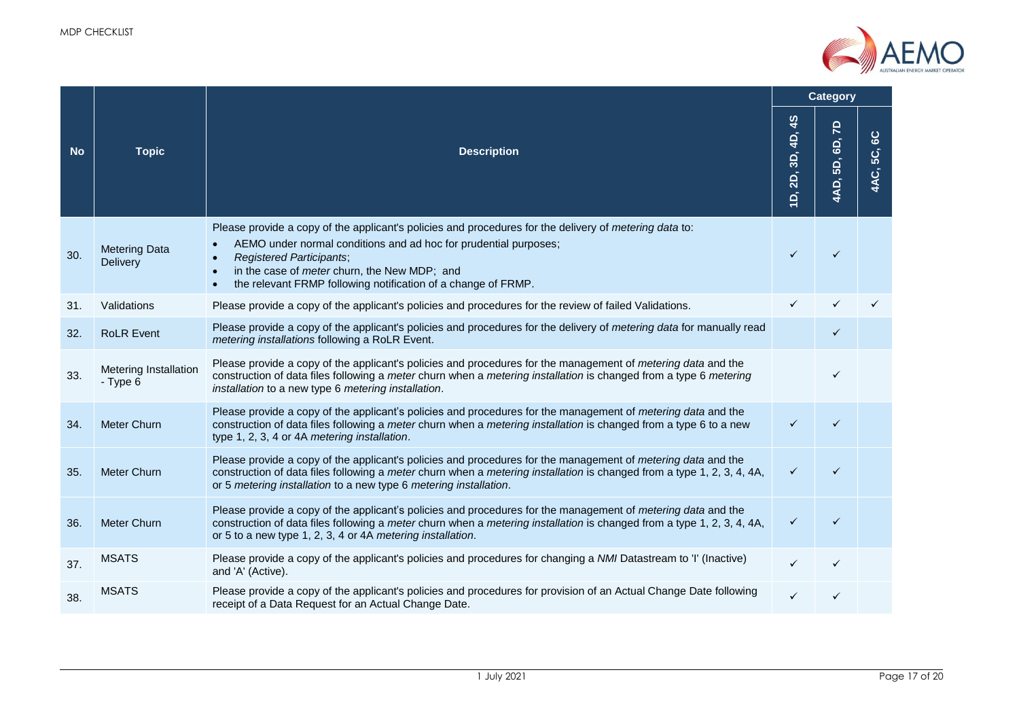

| <b>No</b> |                                       |                                                                                                                                                                                                                                                                                                                                                           |                      | <b>Category</b>                      |                           |
|-----------|---------------------------------------|-----------------------------------------------------------------------------------------------------------------------------------------------------------------------------------------------------------------------------------------------------------------------------------------------------------------------------------------------------------|----------------------|--------------------------------------|---------------------------|
|           | <b>Topic</b>                          | <b>Description</b>                                                                                                                                                                                                                                                                                                                                        | 45<br>D, 2D, 3D, 4D, | $\overline{z}$<br>GD,<br>5D,<br>4AD, | $rac{1}{6}$<br>င့<br>4AC, |
| 30.       | <b>Metering Data</b><br>Delivery      | Please provide a copy of the applicant's policies and procedures for the delivery of <i>metering data</i> to:<br>AEMO under normal conditions and ad hoc for prudential purposes;<br><b>Registered Participants;</b><br>in the case of <i>meter</i> churn, the New MDP; and<br>the relevant FRMP following notification of a change of FRMP.<br>$\bullet$ |                      |                                      |                           |
| 31.       | Validations                           | Please provide a copy of the applicant's policies and procedures for the review of failed Validations.                                                                                                                                                                                                                                                    |                      |                                      |                           |
| 32.       | <b>RoLR Event</b>                     | Please provide a copy of the applicant's policies and procedures for the delivery of metering data for manually read<br>metering installations following a RoLR Event.                                                                                                                                                                                    |                      |                                      |                           |
| 33.       | Metering Installation<br>$-$ Type $6$ | Please provide a copy of the applicant's policies and procedures for the management of <i>metering data</i> and the<br>construction of data files following a meter churn when a metering installation is changed from a type 6 metering<br>installation to a new type 6 metering installation.                                                           |                      | ✓                                    |                           |
| 34.       | <b>Meter Churn</b>                    | Please provide a copy of the applicant's policies and procedures for the management of <i>metering data</i> and the<br>construction of data files following a meter churn when a metering installation is changed from a type 6 to a new<br>type 1, 2, 3, 4 or 4A metering installation.                                                                  | ✓                    | ✓                                    |                           |
| 35.       | <b>Meter Churn</b>                    | Please provide a copy of the applicant's policies and procedures for the management of <i>metering data</i> and the<br>construction of data files following a meter churn when a metering installation is changed from a type 1, 2, 3, 4, 4A,<br>or 5 metering installation to a new type 6 metering installation.                                        | $\checkmark$         |                                      |                           |
| 36.       | <b>Meter Churn</b>                    | Please provide a copy of the applicant's policies and procedures for the management of <i>metering data</i> and the<br>construction of data files following a meter churn when a metering installation is changed from a type 1, 2, 3, 4, 4A,<br>or 5 to a new type 1, 2, 3, 4 or 4A metering installation.                                               | ✓                    | ✓                                    |                           |
| 37.       | <b>MSATS</b>                          | Please provide a copy of the applicant's policies and procedures for changing a NMI Datastream to 'I' (Inactive)<br>and 'A' (Active).                                                                                                                                                                                                                     | $\checkmark$         | ✓                                    |                           |
| 38.       | <b>MSATS</b>                          | Please provide a copy of the applicant's policies and procedures for provision of an Actual Change Date following<br>receipt of a Data Request for an Actual Change Date.                                                                                                                                                                                 |                      |                                      |                           |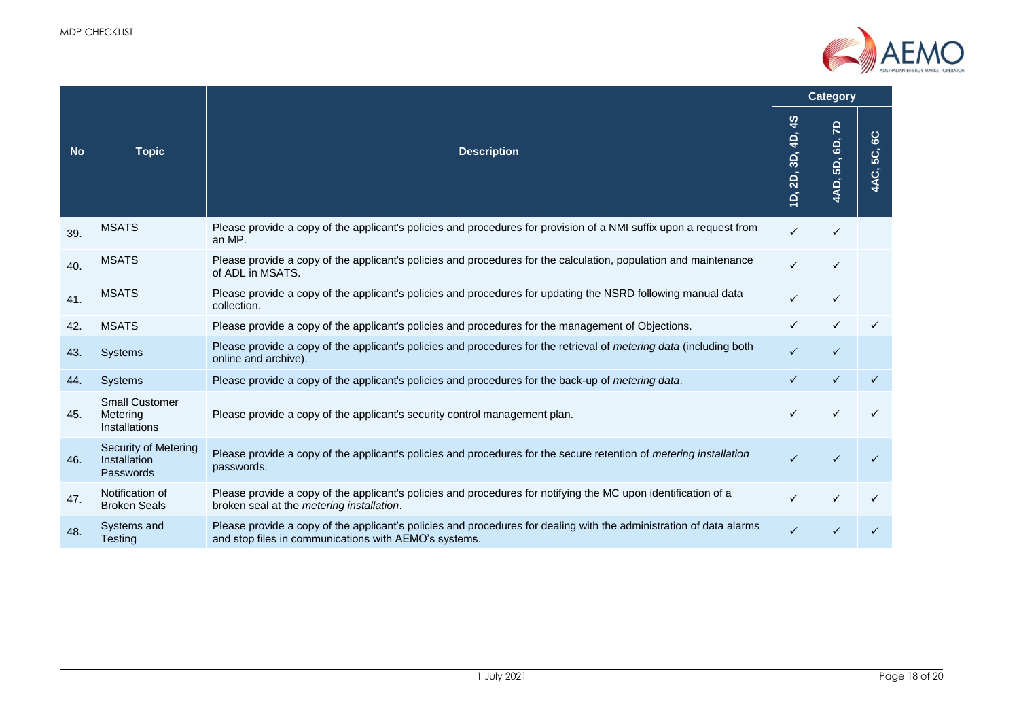

|           |                                                    |                                                                                                                                                                              | Category                       |                    |  |
|-----------|----------------------------------------------------|------------------------------------------------------------------------------------------------------------------------------------------------------------------------------|--------------------------------|--------------------|--|
| <b>No</b> | <b>Topic</b><br><b>Description</b>                 | $\frac{4}{3}$<br>4D,<br>3D,<br><b>2D,</b><br>$\vec{a}$                                                                                                                       | <u>Բ</u><br>GD,<br>5D,<br>4AD, | ပ္စ<br>5C,<br>4AC, |  |
| 39.       | <b>MSATS</b>                                       | Please provide a copy of the applicant's policies and procedures for provision of a NMI suffix upon a request from<br>an MP.                                                 | $\checkmark$                   | ✓                  |  |
| 40.       | <b>MSATS</b>                                       | Please provide a copy of the applicant's policies and procedures for the calculation, population and maintenance<br>of ADL in MSATS.                                         | ✓                              |                    |  |
| 41.       | <b>MSATS</b>                                       | Please provide a copy of the applicant's policies and procedures for updating the NSRD following manual data<br>collection.                                                  | ✓                              | ✓                  |  |
| 42.       | <b>MSATS</b>                                       | Please provide a copy of the applicant's policies and procedures for the management of Objections.                                                                           |                                |                    |  |
| 43.       | Systems                                            | Please provide a copy of the applicant's policies and procedures for the retrieval of metering data (including both<br>online and archive).                                  | ✓                              |                    |  |
| 44.       | <b>Systems</b>                                     | Please provide a copy of the applicant's policies and procedures for the back-up of metering data.                                                                           | ✓                              |                    |  |
| 45.       | <b>Small Customer</b><br>Metering<br>Installations | Please provide a copy of the applicant's security control management plan.                                                                                                   |                                |                    |  |
| 46.       | Security of Metering<br>Installation<br>Passwords  | Please provide a copy of the applicant's policies and procedures for the secure retention of metering installation<br>passwords.                                             | ✓                              |                    |  |
| 47.       | Notification of<br><b>Broken Seals</b>             | Please provide a copy of the applicant's policies and procedures for notifying the MC upon identification of a<br>broken seal at the metering installation.                  | ✓                              |                    |  |
| 48.       | Systems and<br>Testing                             | Please provide a copy of the applicant's policies and procedures for dealing with the administration of data alarms<br>and stop files in communications with AEMO's systems. | ✓                              |                    |  |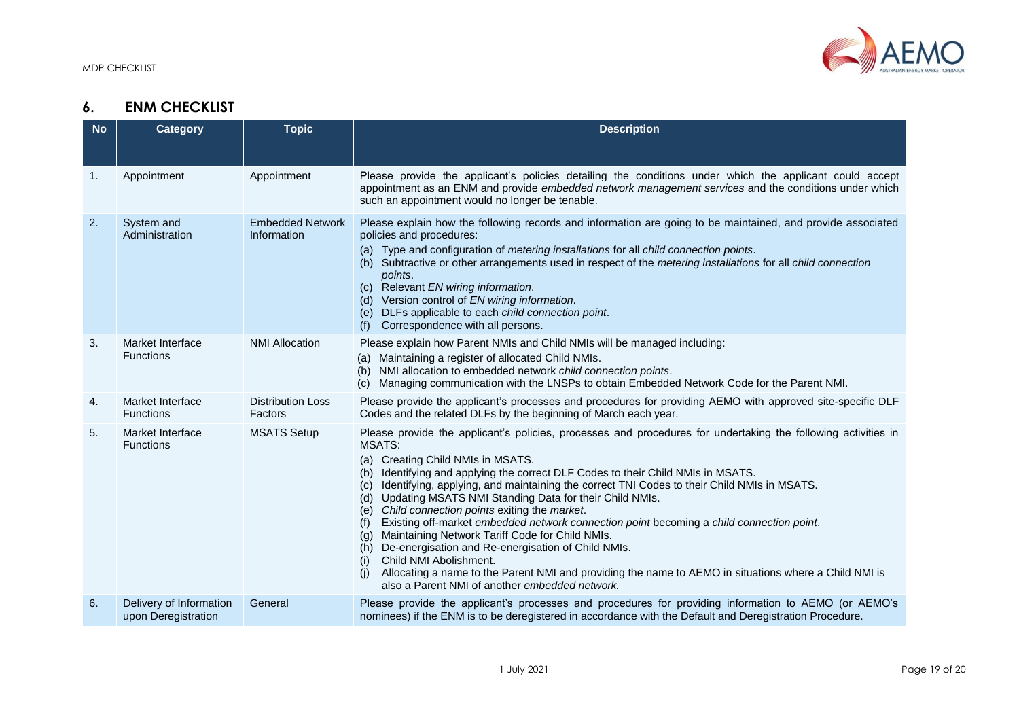

## **6. ENM CHECKLIST**

<span id="page-18-0"></span>

| <b>No</b> | <b>Category</b>                                | <b>Topic</b>                           | <b>Description</b>                                                                                                                                                                                                                                                                                                                                                                                                                                                                                                                                                                                                                                                                                                                                                                                                                                                                                            |
|-----------|------------------------------------------------|----------------------------------------|---------------------------------------------------------------------------------------------------------------------------------------------------------------------------------------------------------------------------------------------------------------------------------------------------------------------------------------------------------------------------------------------------------------------------------------------------------------------------------------------------------------------------------------------------------------------------------------------------------------------------------------------------------------------------------------------------------------------------------------------------------------------------------------------------------------------------------------------------------------------------------------------------------------|
|           |                                                |                                        |                                                                                                                                                                                                                                                                                                                                                                                                                                                                                                                                                                                                                                                                                                                                                                                                                                                                                                               |
| 1.        | Appointment                                    | Appointment                            | Please provide the applicant's policies detailing the conditions under which the applicant could accept<br>appointment as an ENM and provide embedded network management services and the conditions under which<br>such an appointment would no longer be tenable.                                                                                                                                                                                                                                                                                                                                                                                                                                                                                                                                                                                                                                           |
| 2.        | System and<br>Administration                   | <b>Embedded Network</b><br>Information | Please explain how the following records and information are going to be maintained, and provide associated<br>policies and procedures:<br>(a) Type and configuration of metering installations for all child connection points.<br>(b) Subtractive or other arrangements used in respect of the metering installations for all child connection<br>points.<br>(c) Relevant EN wiring information.<br>(d) Version control of EN wiring information.<br>(e) DLFs applicable to each child connection point.<br>Correspondence with all persons.<br>(f)                                                                                                                                                                                                                                                                                                                                                         |
| 3.        | Market Interface<br><b>Functions</b>           | <b>NMI Allocation</b>                  | Please explain how Parent NMIs and Child NMIs will be managed including:<br>(a) Maintaining a register of allocated Child NMIs.<br>(b) NMI allocation to embedded network child connection points.<br>Managing communication with the LNSPs to obtain Embedded Network Code for the Parent NMI.<br>(C)                                                                                                                                                                                                                                                                                                                                                                                                                                                                                                                                                                                                        |
| 4.        | Market Interface<br><b>Functions</b>           | <b>Distribution Loss</b><br>Factors    | Please provide the applicant's processes and procedures for providing AEMO with approved site-specific DLF<br>Codes and the related DLFs by the beginning of March each year.                                                                                                                                                                                                                                                                                                                                                                                                                                                                                                                                                                                                                                                                                                                                 |
| 5.        | Market Interface<br><b>Functions</b>           | <b>MSATS Setup</b>                     | Please provide the applicant's policies, processes and procedures for undertaking the following activities in<br><b>MSATS:</b><br>Creating Child NMIs in MSATS.<br>(a)<br>Identifying and applying the correct DLF Codes to their Child NMIs in MSATS.<br>(b)<br>Identifying, applying, and maintaining the correct TNI Codes to their Child NMIs in MSATS.<br>(c)<br>(d) Updating MSATS NMI Standing Data for their Child NMIs.<br>(e) Child connection points exiting the market.<br>Existing off-market embedded network connection point becoming a child connection point.<br>(f)<br>Maintaining Network Tariff Code for Child NMIs.<br>(g)<br>(h) De-energisation and Re-energisation of Child NMIs.<br>Child NMI Abolishment.<br>(i)<br>Allocating a name to the Parent NMI and providing the name to AEMO in situations where a Child NMI is<br>(i)<br>also a Parent NMI of another embedded network. |
| 6.        | Delivery of Information<br>upon Deregistration | General                                | Please provide the applicant's processes and procedures for providing information to AEMO (or AEMO's<br>nominees) if the ENM is to be deregistered in accordance with the Default and Deregistration Procedure.                                                                                                                                                                                                                                                                                                                                                                                                                                                                                                                                                                                                                                                                                               |